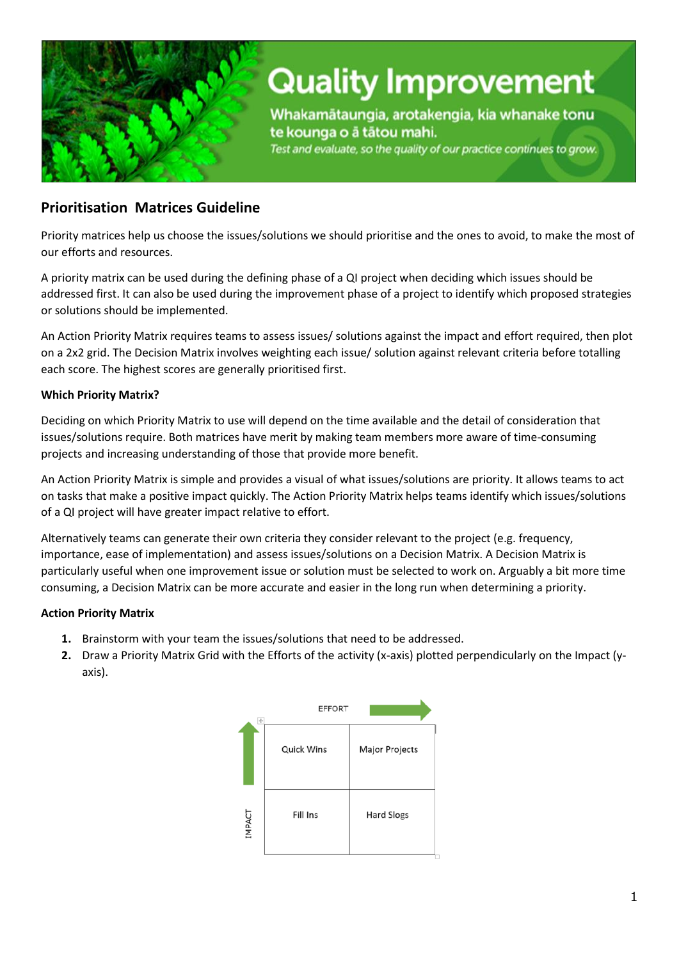

# **Quality Improvement**

Whakamātaungia, arotakengia, kia whanake tonu te kounga o å tåtou mahi.

Test and evaluate, so the quality of our practice continues to grow.

### **Prioritisation Matrices Guideline**

Priority matrices help us choose the issues/solutions we should prioritise and the ones to avoid, to make the most of our efforts and resources.

A priority matrix can be used during the defining phase of a QI project when deciding which issues should be addressed first. It can also be used during the improvement phase of a project to identify which proposed strategies or solutions should be implemented.

An Action Priority Matrix requires teams to assess issues/ solutions against the impact and effort required, then plot on a 2x2 grid. The Decision Matrix involves weighting each issue/ solution against relevant criteria before totalling each score. The highest scores are generally prioritised first.

### **Which Priority Matrix?**

Deciding on which Priority Matrix to use will depend on the time available and the detail of consideration that issues/solutions require. Both matrices have merit by making team members more aware of time-consuming projects and increasing understanding of those that provide more benefit.

An Action Priority Matrix is simple and provides a visual of what issues/solutions are priority. It allows teams to act on tasks that make a positive impact quickly. The Action Priority Matrix helps teams identify which issues/solutions of a QI project will have greater impact relative to effort.

Alternatively teams can generate their own criteria they consider relevant to the project (e.g. frequency, importance, ease of implementation) and assess issues/solutions on a Decision Matrix. A Decision Matrix is particularly useful when one improvement issue or solution must be selected to work on. Arguably a bit more time consuming, a Decision Matrix can be more accurate and easier in the long run when determining a priority.

### **Action Priority Matrix**

- **1.** Brainstorm with your team the issues/solutions that need to be addressed.
- **2.** Draw a Priority Matrix Grid with the Efforts of the activity (x-axis) plotted perpendicularly on the Impact (yaxis).

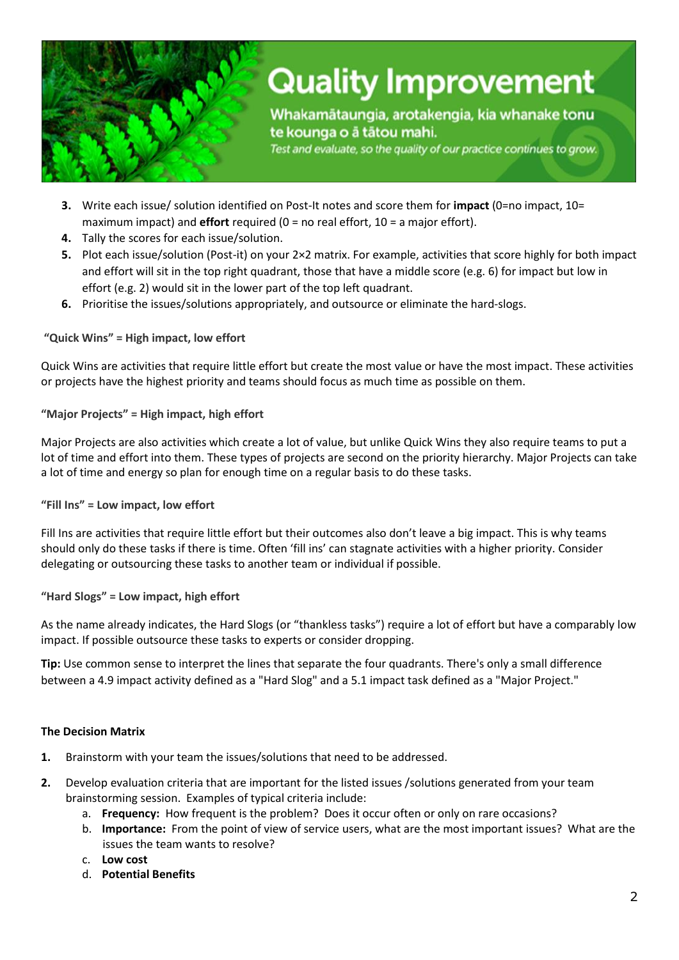

## **Quality Improvement**

Whakamātaungia, arotakengia, kia whanake tonu te kounga o å tåtou mahi.

Test and evaluate, so the quality of our practice continues to grow.

- **3.** Write each issue/ solution identified on Post-It notes and score them for *impact* (0=no impact, 10= maximum impact) and **effort** required (0 = no real effort, 10 = a major effort).
- **4.** Tally the scores for each issue/solution.
- **5.** Plot each issue/solution (Post-it) on your 2×2 matrix. For example, activities that score highly for both impact and effort will sit in the top right quadrant, those that have a middle score (e.g. 6) for impact but low in effort (e.g. 2) would sit in the lower part of the top left quadrant.
- **6.** Prioritise the issues/solutions appropriately, and outsource or eliminate the hard-slogs.

**"Quick Wins" = High impact, low effort**

Quick Wins are activities that require little effort but create the most value or have the most impact. These activities or projects have the highest priority and teams should focus as much time as possible on them.

**"Major Projects" = High impact, high effort**

Major Projects are also activities which create a lot of value, but unlike Quick Wins they also require teams to put a lot of time and effort into them. These types of projects are second on the priority hierarchy. Major Projects can take a lot of time and energy so plan for enough time on a regular basis to do these tasks.

**"Fill Ins" = Low impact, low effort**

Fill Ins are activities that require little effort but their outcomes also don't leave a big impact. This is why teams should only do these tasks if there is time. Often 'fill ins' can stagnate activities with a higher priority. Consider delegating or outsourcing these tasks to another team or individual if possible.

#### **"Hard Slogs" = Low impact, high effort**

As the name already indicates, the Hard Slogs (or "thankless tasks") require a lot of effort but have a comparably low impact. If possible outsource these tasks to experts or consider dropping.

**Tip:** Use common sense to interpret the lines that separate the four quadrants. There's only a small difference between a 4.9 impact activity defined as a "Hard Slog" and a 5.1 impact task defined as a "Major Project."

#### **The Decision Matrix**

- **1.** Brainstorm with your team the issues/solutions that need to be addressed.
- **2.** Develop evaluation criteria that are important for the listed issues /solutions generated from your team brainstorming session. Examples of typical criteria include:
	- a. **Frequency:** How frequent is the problem? Does it occur often or only on rare occasions?
	- b. **Importance:** From the point of view of service users, what are the most important issues? What are the issues the team wants to resolve?
	- c. **Low cost**
	- d. **Potential Benefits**